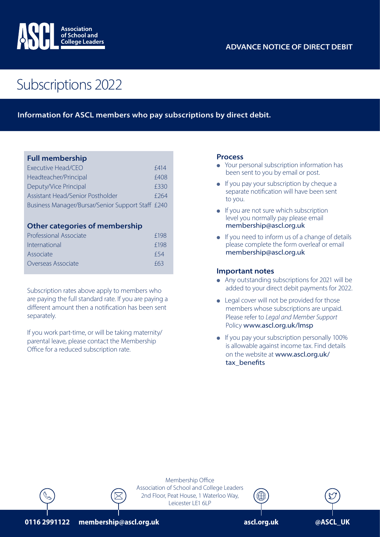

# Subscriptions 2022

### **Information for ASCL members who pay subscriptions by direct debit.**

### **Full membership**

| Executive Head/CEO                                | <b>£414</b> |
|---------------------------------------------------|-------------|
| Headteacher/Principal                             | £408        |
| Deputy/Vice Principal                             | £330        |
| Assistant Head/Senior Postholder                  | f 264       |
| Business Manager/Bursar/Senior Support Staff £240 |             |

#### **Other categories of membership**

| f198 |
|------|
| f198 |
| f 54 |
| f63  |
|      |

Subscription rates above apply to members who are paying the full standard rate. If you are paying a different amount then a notification has been sent separately.

If you work part-time, or will be taking maternity/ parental leave, please contact the Membership Office for a reduced subscription rate.

#### **Process**

- Your personal subscription information has been sent to you by email or post.
- $\bullet$  If you pay your subscription by cheque a separate notification will have been sent to you.
- $\bullet$  If you are not sure which subscription level you normally pay please email membership@ascl.org.uk
- $\bullet$  If you need to inform us of a change of details please complete the form overleaf or email membership@ascl.org.uk

#### **Important notes**

- Any outstanding subscriptions for 2021 will be added to your direct debit payments for 2022.
- $\bullet$  Legal cover will not be provided for those members whose subscriptions are unpaid. Please refer to *Legal and Member Support* Policy www.ascl.org.uk/lmsp
- **.** If you pay your subscription personally 100% is allowable against income tax. Find details on the website at www.ascl.org.uk/ tax\_benefits



Membership Office Association of School and College Leaders 2nd Floor, Peat House, 1 Waterloo Way, Leicester LE1 6LP